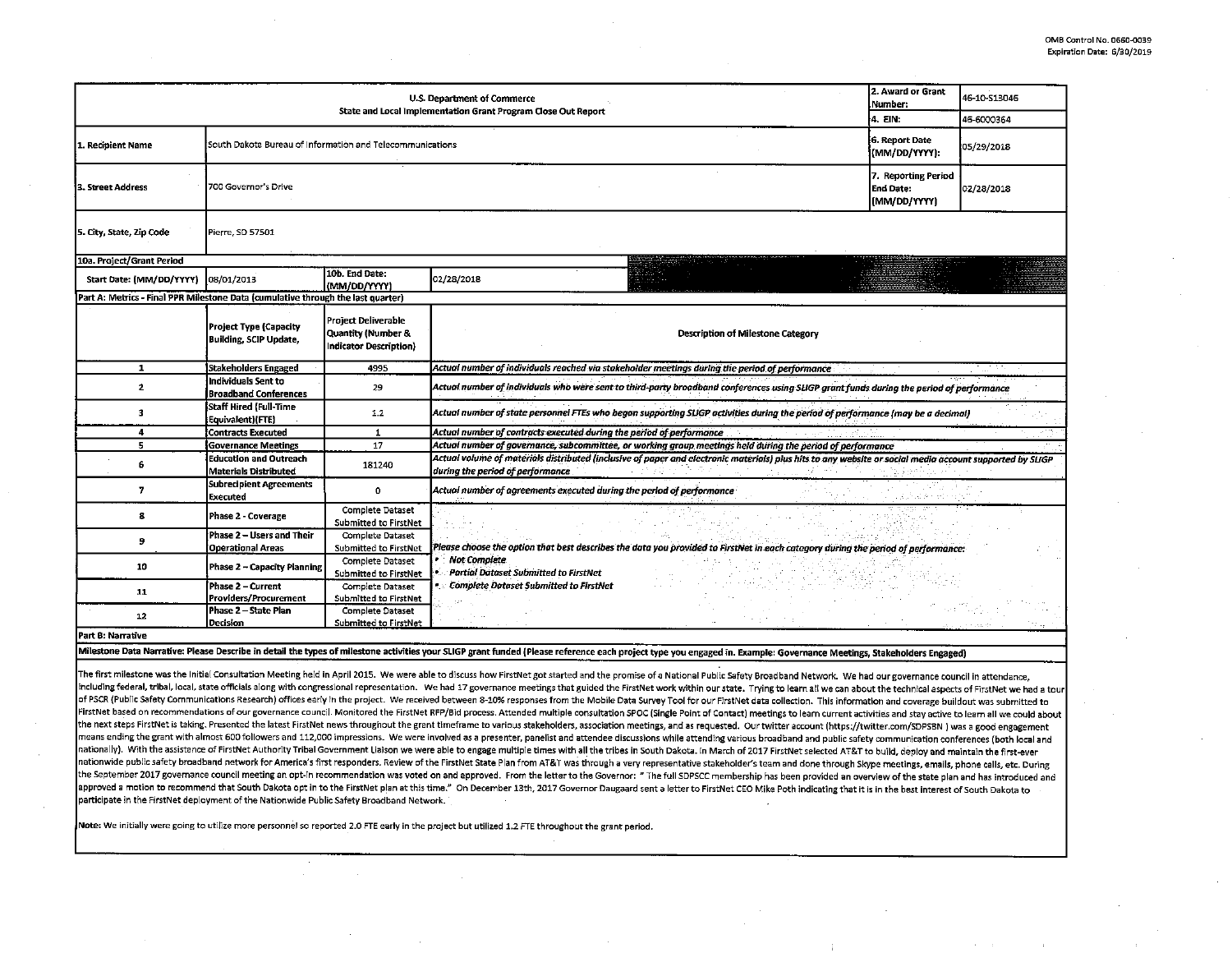| 2. Award or Grant<br>U.S. Department of Commerce<br>Number:<br>State and Local Implementation Grant Program Close Out Report<br>4. EIN: |                                                           |                                                                                                                                        |                                                                                                                                                                                              |  | 46-10-S13046 |  |  |  |
|-----------------------------------------------------------------------------------------------------------------------------------------|-----------------------------------------------------------|----------------------------------------------------------------------------------------------------------------------------------------|----------------------------------------------------------------------------------------------------------------------------------------------------------------------------------------------|--|--------------|--|--|--|
|                                                                                                                                         |                                                           |                                                                                                                                        |                                                                                                                                                                                              |  | 46-6000364   |  |  |  |
| 1. Recipient Name                                                                                                                       | South Dakota Bureau of Information and Telecommunications | G. Report Date<br>(MM/DD/YYYY):                                                                                                        | 05/29/2018                                                                                                                                                                                   |  |              |  |  |  |
| 3. Street Address                                                                                                                       | 7. Reporting Period<br>700 Governor's Drive               |                                                                                                                                        |                                                                                                                                                                                              |  | 02/28/2018   |  |  |  |
| 5. City, State, Zip Code<br>Pierre, SD 57501                                                                                            |                                                           |                                                                                                                                        |                                                                                                                                                                                              |  |              |  |  |  |
| 10a. Project/Grant Period                                                                                                               |                                                           |                                                                                                                                        |                                                                                                                                                                                              |  |              |  |  |  |
| Start Date: (MM/DD/YYYY)                                                                                                                | 08/01/2013                                                | 10b. End Date:<br>(MM/DD/YYYY)                                                                                                         | 02/28/2018                                                                                                                                                                                   |  |              |  |  |  |
| Part A: Metrics - Final PPR Milestone Data (cumulative through the last quarter)                                                        |                                                           |                                                                                                                                        |                                                                                                                                                                                              |  |              |  |  |  |
|                                                                                                                                         | Project Type (Capacity<br><b>Building, SCIP Update,</b>   | Project Deliverable<br>Quantity (Number &<br>Indicator Description}                                                                    | <b>Description of Milestone Category</b>                                                                                                                                                     |  |              |  |  |  |
| 1                                                                                                                                       | Stakeholders Engaged                                      | 4995                                                                                                                                   | Actual number of individuals reached via stakeholder meetings during the period of performance                                                                                               |  |              |  |  |  |
| $\mathbf{2}$                                                                                                                            | Individuals Sent to<br><b>Broadband Conferences</b>       | 29                                                                                                                                     | Actual number of individuals who were sent to third-party broadband conferences using SLIGP grant funds during the period of performance                                                     |  |              |  |  |  |
| 3                                                                                                                                       | Staff Hired (Full-Time<br>Equivalent)(FTE)                | Actual number of state personnel FTEs who began supporting SLIGP activities during the period of performance (may be a decimal)<br>1.2 |                                                                                                                                                                                              |  |              |  |  |  |
| $\overline{a}$                                                                                                                          | <b>Contracts Executed</b>                                 | Actual number of contracts executed during the period of performance<br>1                                                              |                                                                                                                                                                                              |  |              |  |  |  |
| 5                                                                                                                                       | <b>Governance Meetings</b>                                | 17                                                                                                                                     | Actual number of governance, subcommittee, or working group meetings held during the period of performance                                                                                   |  |              |  |  |  |
| 6                                                                                                                                       | Education and Outreach<br>Materials Distributed           | 181240                                                                                                                                 | Actual volume of materials distributed (inclusive of paper and electronic materials) plus hits to any website or social media account supported by SLIGP<br>during the period of performance |  |              |  |  |  |
| 7                                                                                                                                       | Subrecipient Agreements<br>Executed                       | $\mathbf{0}$                                                                                                                           | Actual number of agreements executed during the period of performance                                                                                                                        |  |              |  |  |  |
| 8                                                                                                                                       | Phase 2 - Coverage                                        | Complete Dataset<br>Submitted to FirstNet                                                                                              |                                                                                                                                                                                              |  |              |  |  |  |
| 9                                                                                                                                       | Phase 2 – Users and Their<br>Operational Areas            | Complete Dataset<br>Submitted to FirstNet                                                                                              | Please choose the option that best describes the data you provided to FirstNet in each category during the period of performance:                                                            |  |              |  |  |  |
| 10                                                                                                                                      | Phase 2 – Capacity Planning                               | Complete Dataset<br>Submitted to FirstNet                                                                                              | <b>Not Complete</b><br>• Partial Dataset Submitted to FirstNet                                                                                                                               |  |              |  |  |  |
| 11                                                                                                                                      | Phase 2 – Current<br>Providers/Procurement                | <b>Complete Dataset</b><br>Submitted to FirstNet                                                                                       | . Complete Dataset Submitted to FirstNet                                                                                                                                                     |  |              |  |  |  |
| 12                                                                                                                                      | Phase 2 – State Plan<br>Decision                          | <b>Complete Dataset</b><br>Submitted to FirstNet                                                                                       |                                                                                                                                                                                              |  |              |  |  |  |
| Part B: Narrative                                                                                                                       |                                                           |                                                                                                                                        |                                                                                                                                                                                              |  |              |  |  |  |

Milestone Data Narrative: Please Describe in detail the types of milestone activities your SLIGP grant funded (Please reference each project type you engaged in. Example: Governance Meetings, Stakeholders Engaged)

The first milestone was the Initial Consultation Meeting held in April 2015. We were able to discuss how FirstNet got started and the promise of a National Public Safety Broadband Network. We had our governance council in including federal, tribal, local, state officials along with congressional representation. We had 17 governance meetings that guided the FirstNet work within our state. Trying to learn all we can about the technical aspect of PSCR (Public Safety Communications Research) offices early in the project. We received between 8-10% responses from the Mobile Data Survey Tool for our FirstNet data collection. This information and coverage buildout wa FirstNet based on recommendations of our governance council. Monitored the FirstNet RFP/Bid process. Attended multiple consultation SPOC (Single Point of Contact) meetings to learn current activities and stay active to lea the next steps FirstNet is taking. Presented the latest FirstNet news throughout the grant timeframe to various stakeholders, association meetings, and as requested. Our twitter account (https://twitter.com/SDPSBN ) was a means ending the grant with almost 600 followers and 112,000 impressions. We were involved as a presenter, panelist and attendee discussions while attending various broadband and public safety communication conferences (bo nationally). With the assistance of FirstNet Authority Tribal Government Liaison we were able to engage multiple times with all the tribes in South Dakota. In March of 2017 FirstNet selected AT&T to build, deploy and maint nationwide public safety broadband network for America's first responders. Review of the FirstNet State Plan from AT&T was through a very representative stakeholder's team and done through Skype meetings, emails, phone cal the September 2017 governance council meeting an opt-in recommendation was voted on and approved. From the letter to the Governor: " The full SDPSCC membership has been provided an overview of the state plan and has introd approved a motion to recommend that South Dakota opt in to the FirstNet plan at this time." On December 13th, 2017 Governor Daugaard sent a letter to FirstNet CEO Mike Poth indicating that it is in the best interest of Sou participate in the FirstNet deployment of the Nationwide Public Safety Broadband Netwotk.

Note: We initially were going to utilize more personnel so reported 2.0 FTE early in the project but utilized 1.2 FTE throughout the grant period.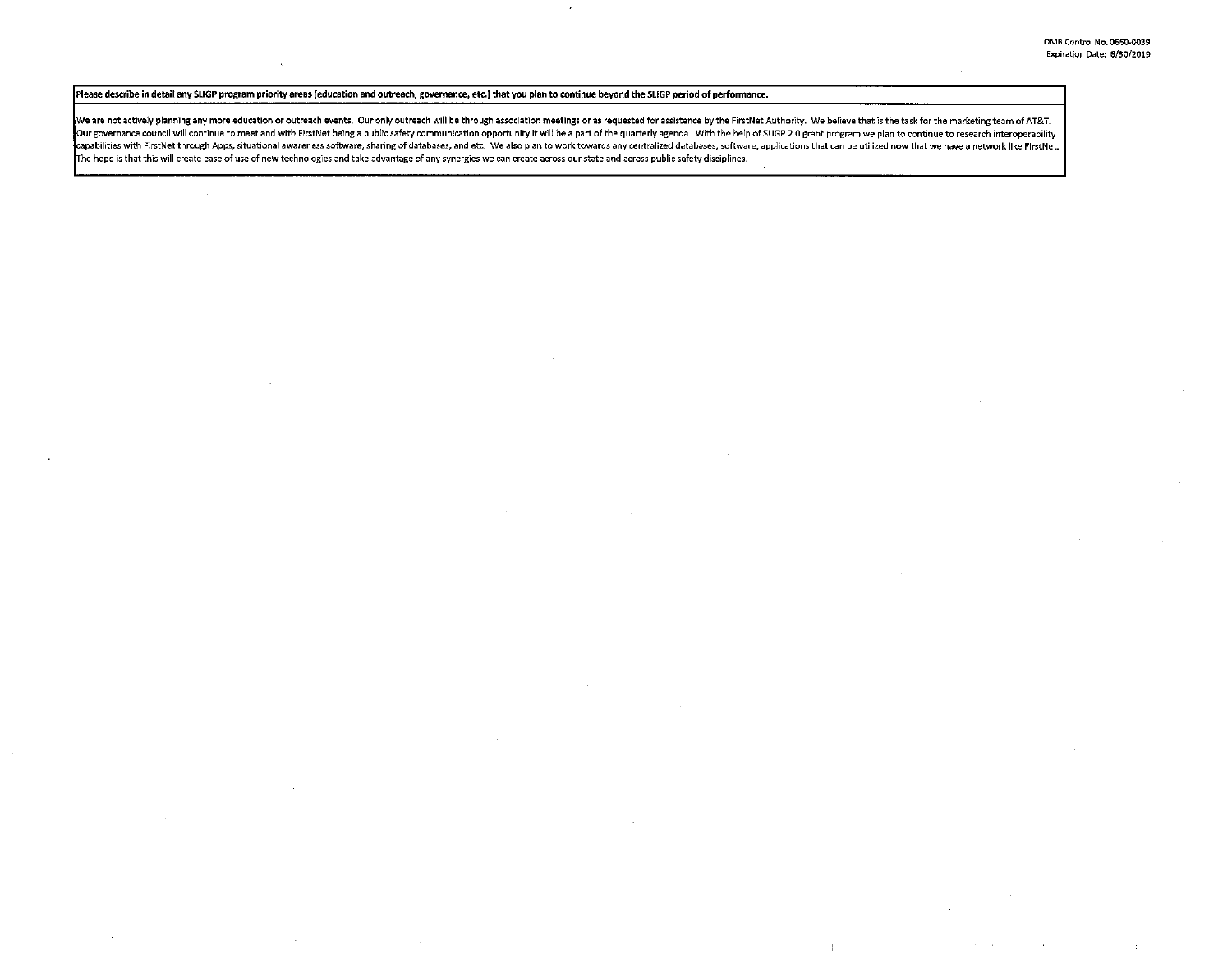# Please describe in detail any SUGP program priority areas (education and outreach, governance, etc.) that you plan to continue beyond the SLIGP period of perfonnance.

We are not actively planning any more education or outreach events. Our only outreach will be through association meetings or as requested for assistance by the FirstNet Authority. We believe that is the task for the marke Our governance council will continue to meet and with FirstNet being a public safety communication opportunity it will be a part of the quarterly agenda. With the help of SLIGP 2.0 grant program we plan to continue to rese capabilities with FirstNet through Apps, situational awareness software, sharing of databases, and etc. We also plan to work towards any centralized databases, software, applications that can be utilized now that we have a The hope is that this will create ease of use of new technologies and take advantage of any synergies we can create across our state and across public safety disciplines.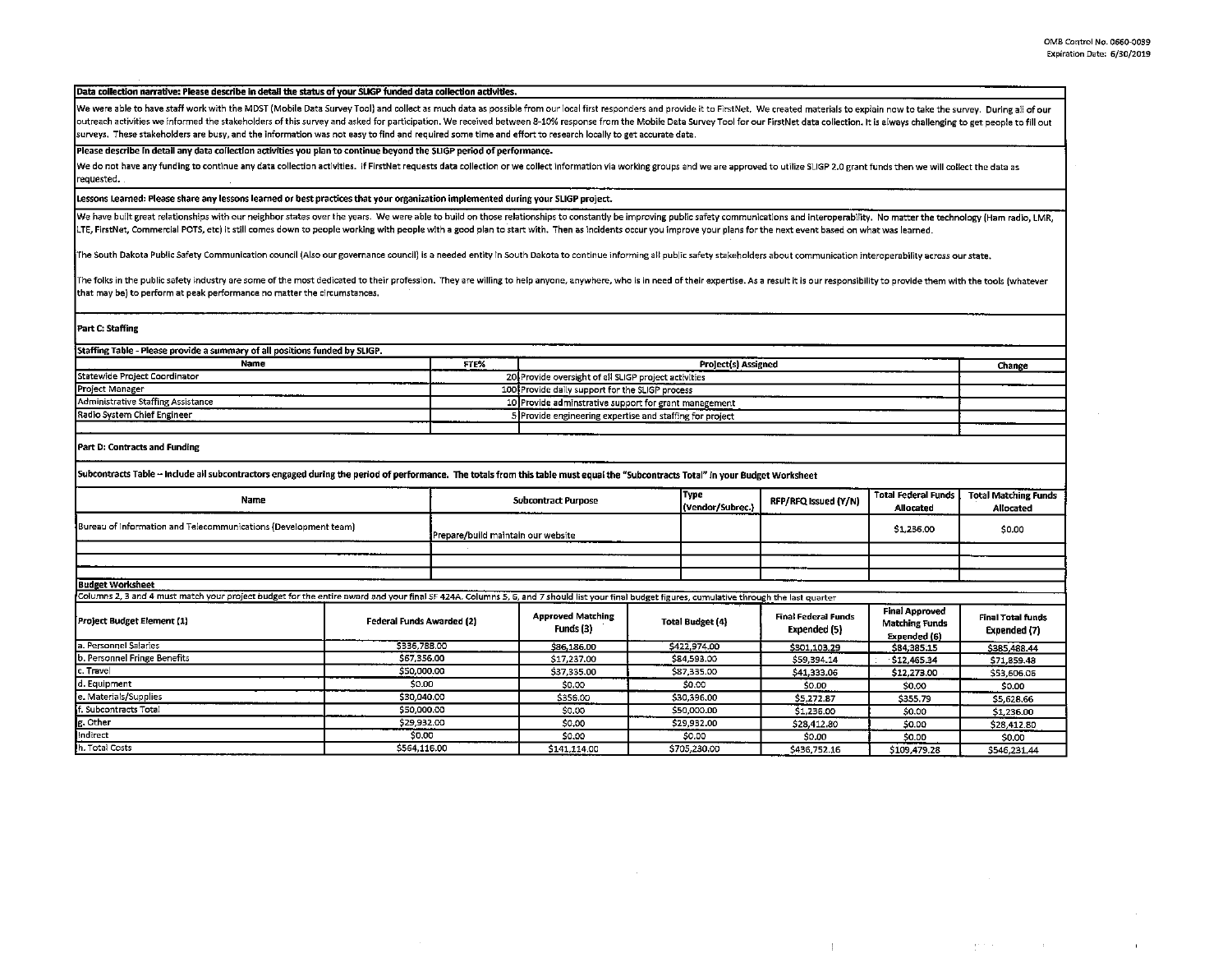$\mathbf{q}$  and  $\mathbf{q}$  and  $\mathbf{q}$ 

 $\sim 100$ 

 $\mathbf{r}$ 

### Data collection narrative: Please describe in detail the status of your SUGP funded data collection activities.

We were able to have staff work with the MDST (Mobile Data Survey Tool) and collect as much data as possible from our local first responders and provide it to FirstNet. We created materials to explain now to take the surve outreach activities we informed the stakeholders of this survey and asked for participation. We received between 8-10% response from the Mobile Data Survey Tool for our FirstNet data collection. It is always challenging to surveys. These stakeholders are busy, and the information was not easy to find and required some time and effort to research locally to get accurate data.

## Please describe In detail any data collectlon activities you plan to continue beyond the SLlGP period of performance.

We do not have any funding to continue any data collection activities. If FirstNet requests data collection or we collect information via working groups and we are approved to utilize SLIGP 2.0 grant funds then we will col requested.

# Lessons Learned: Please share any lessons learned or best practices that your organization implemented during your SLlGP project.

We have built great relationships with our neighbor states over the years. We were able to build on those relationships to constantly be improving public safety communications and interoperability. No matter the technology LTE, FirstNet, Commercial POTS, etc) it still comes down to people working with people with a good plan to start with. Then as incidents occur you improve your plans for the next event based on what was learned.

The South Dakota Public Safety Communication council (Also our governance council) is a needed entity in South Dakota to continue informing all public safety stakeholders about communication interoperability across our sta

The folks in the public safety industry are some of the most dedicated to their profession. They are willing to help anyone, anywhere, who is in need of their expertise. As a result it is our responsibility to provide them that may be) to perform at peak performance no matter the circumstances.

### Part C: Staffing

| Staffing Table - Please provide a summary of all positions funded by SLIGP. |                     |                                                                                                                                                                                                                              |  |  |  |  |
|-----------------------------------------------------------------------------|---------------------|------------------------------------------------------------------------------------------------------------------------------------------------------------------------------------------------------------------------------|--|--|--|--|
| FTE%                                                                        | Project(s) Assigned | Change                                                                                                                                                                                                                       |  |  |  |  |
|                                                                             |                     |                                                                                                                                                                                                                              |  |  |  |  |
|                                                                             |                     |                                                                                                                                                                                                                              |  |  |  |  |
|                                                                             |                     |                                                                                                                                                                                                                              |  |  |  |  |
|                                                                             |                     |                                                                                                                                                                                                                              |  |  |  |  |
|                                                                             |                     |                                                                                                                                                                                                                              |  |  |  |  |
|                                                                             |                     | 20 Provide oversight of all SLIGP project activities<br>100 Provide daily support for the SLIGP process<br>10 Provide adminstrative support for grant management<br>5 Provide engineering expertise and staffing for project |  |  |  |  |

#### Part D: Contracts and Funding

Subcontracts Table - Include all subcontractors engaged during the period of performance. The totals from this table must equal the "Subcontracts Total" in your Budget Worksheet

| Name                                                            | Subcontract Purpose                | Type<br>(Vendor/Subrec.) | RFP/RFQ Issued (Y/N) | Total Federal Funds  <br>Allocated | <b>Total Matching Funds</b><br>Allocated |
|-----------------------------------------------------------------|------------------------------------|--------------------------|----------------------|------------------------------------|------------------------------------------|
| Bureau of Information and Telecommunications (Development team) | Prepare/build maintain our website |                          |                      | \$1,236.00                         | \$0.00                                   |
|                                                                 |                                    |                          |                      |                                    |                                          |
|                                                                 |                                    |                          |                      |                                    |                                          |
| ____                                                            |                                    |                          |                      |                                    |                                          |

**Budget Worksheet** 

Columns 2, 3 and 4 must match your project budget for the entire award and your final SF 424A. Columns 5, 6, and 7 should list your final budget figures, cumulative through the last quarter

| <b>Project Budget Element (1)</b> | Federal Funds Awarded (2) | <b>Approved Matching</b><br>Funds (3) | <b>Total Budget (4)</b> | Final Federal Funds<br>Expended (5) | Final Approved<br>Matching Funds<br>Expended (6) | <b>Final Total funds</b><br>Expended (7) |
|-----------------------------------|---------------------------|---------------------------------------|-------------------------|-------------------------------------|--------------------------------------------------|------------------------------------------|
| a. Personnel Salaries             | \$336,788.00              | S86,186.00                            | \$422,974.00            | \$301,103.29                        | 584.385.15                                       | \$385,488.44                             |
| b. Personnel Fringe Benefits      | \$67.356.00               | \$17,237.00                           | \$84,593.00             | \$59,394.14                         | \$12,465.34                                      | 571.859.48                               |
| c. Travel                         | \$50,000,00               | \$37,335.00                           | \$87.335.00             | \$41,333.06                         | 512,273.00                                       | \$53,606.06                              |
| d. Equipment                      | \$0.00                    | \$0.00                                | <b>SO 00</b>            | \$0.00                              | \$0.00                                           | \$0.00                                   |
| e. Materials/Supplies             | \$30,040.00               | \$356.00                              | \$30,396.00             | \$5,272.87                          | \$355.79                                         | \$5,628.66                               |
| ff. Subcontracts Total            | \$50,000.00               | \$0.00                                | \$50,000.00             | \$1,236.00                          | \$0.00                                           | \$1,236.00                               |
| g. Other                          | \$29,932.00               | \$0.00                                | \$29,932.00             | \$28,412.80                         | \$0.00                                           | \$28,412.80                              |
| Indirect                          | \$0.00                    | \$0.00                                | \$0.00                  | <b>SO.00</b>                        | 50.OD                                            | \$0.00                                   |
| h. Total Costs<br>__________      | \$564.116.00              | \$141,114.00                          | \$705,230.00            | \$436,752.16                        | \$109,479.28                                     | \$546,231.44                             |